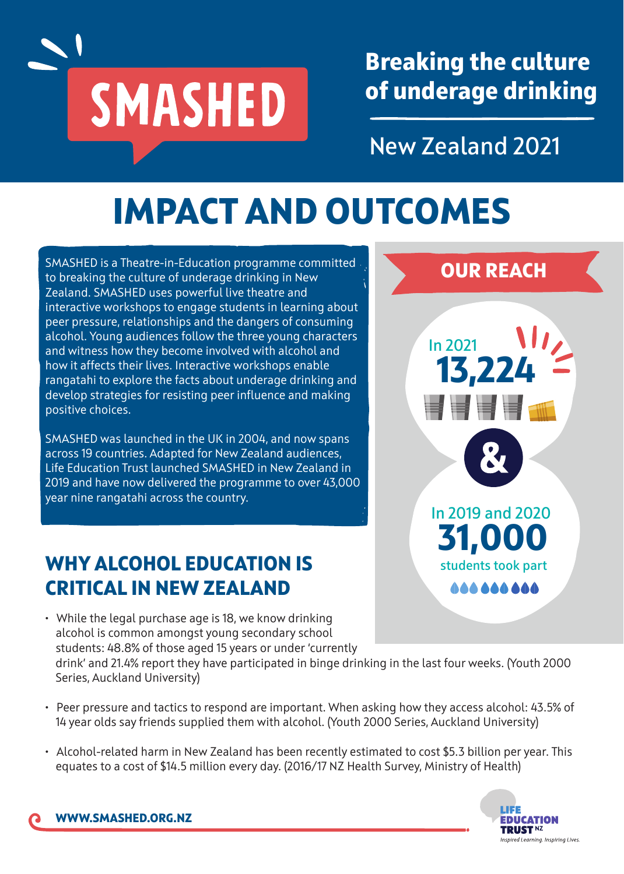

**Breaking the culture of underage drinking**

**New Zealand 2021**

## **IMPACT AND OUTCOMES**

SMASHED is a Theatre-in-Education programme committed to breaking the culture of underage drinking in New Zealand. SMASHED uses powerful live theatre and interactive workshops to engage students in learning about peer pressure, relationships and the dangers of consuming alcohol. Young audiences follow the three young characters and witness how they become involved with alcohol and how it affects their lives. Interactive workshops enable rangatahi to explore the facts about underage drinking and develop strategies for resisting peer influence and making positive choices.

SMASHED was launched in the UK in 2004, and now spans across 19 countries. Adapted for New Zealand audiences, Life Education Trust launched SMASHED in New Zealand in 2019 and have now delivered the programme to over 43,000 year nine rangatahi across the country.

### **WHY ALCOHOL EDUCATION IS CRITICAL IN NEW ZEALAND**



• While the legal purchase age is 18, we know drinking alcohol is common amongst young secondary school students: 48.8% of those aged 15 years or under 'currently

drink' and 21.4% report they have participated in binge drinking in the last four weeks. (Youth 2000 Series, Auckland University)

- Peer pressure and tactics to respond are important. When asking how they access alcohol: 43.5% of 14 year olds say friends supplied them with alcohol. (Youth 2000 Series, Auckland University)
- Alcohol-related harm in New Zealand has been recently estimated to cost \$5.3 billion per year. This equates to a cost of \$14.5 million every day. (2016/17 NZ Health Survey, Ministry of Health)

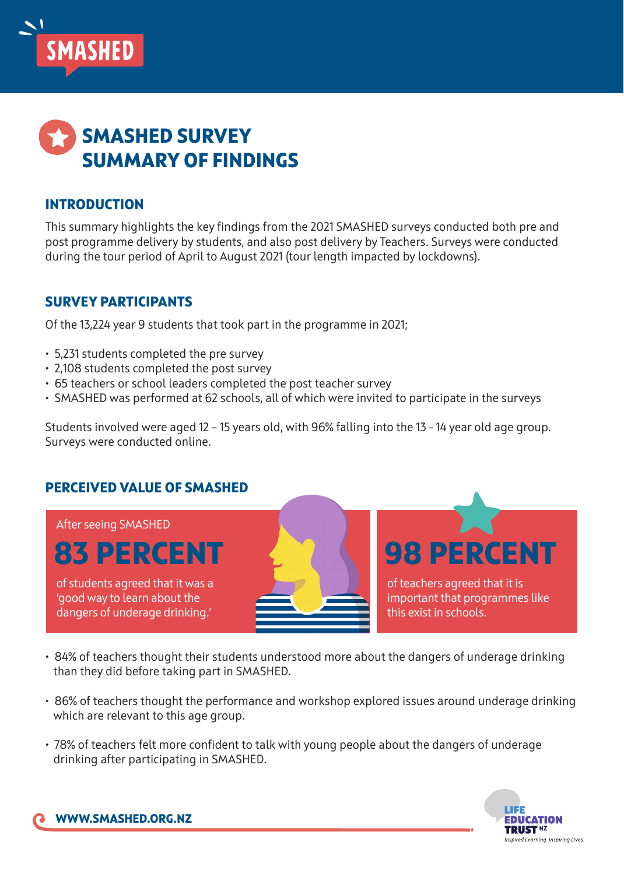



#### **INTRODUCTION**

This summary highlights the key findings from the 2021 SMASHED surveys conducted both pre and post programme delivery by students, and also post delivery by Teachers. Surveys were conducted during the tour period of April to August 2021 (tour length impacted by lockdowns).

#### **SURVEY PARTICIPANTS**

Of the 13,224 year 9 students that took part in the programme in 2021;

- 5,231 students completed the pre survey
- 2,108 students completed the post survey
- 65 teachers or school leaders completed the post teacher survey
- SMASHED was performed at 62 schools, all of which were invited to participate in the surveys

Students involved were aged 12 – 15 years old, with 96% falling into the 13 - 14 year old age group. Surveys were conducted online.

#### **PERCEIVED VALUE OF SMASHED**

After seeing SMASHED

## **83 PERCENT**

of students agreed that it was a 'good way to learn about the dangers of underage drinking.'

of teachers agreed that it is important that programmes like this exist in schools.

**98 PERCENT**

- 84% of teachers thought their students understood more about the dangers of underage drinking than they did before taking part in SMASHED.
- 86% of teachers thought the performance and workshop explored issues around underage drinking which are relevant to this age group.
- 78% of teachers felt more confident to talk with young people about the dangers of underage drinking after participating in SMASHED.

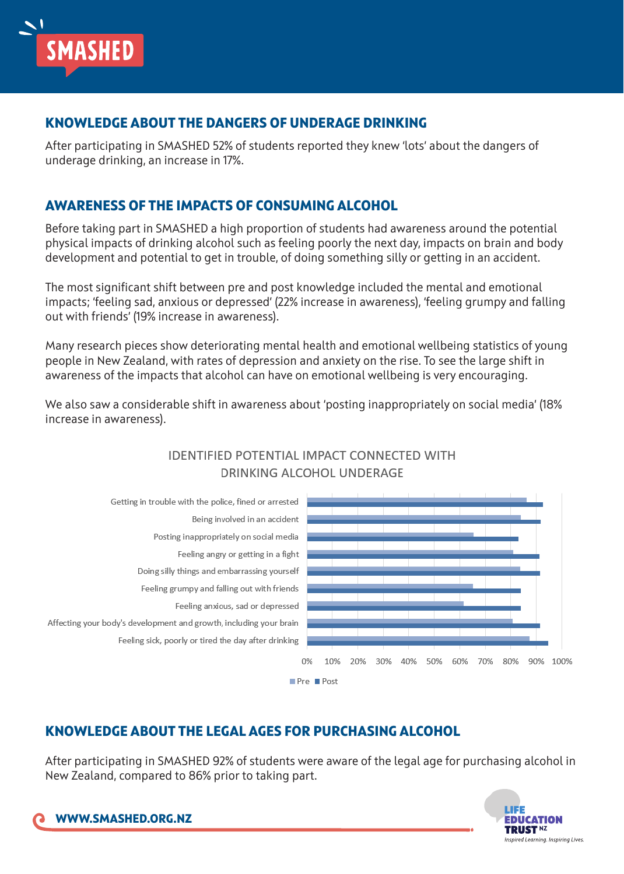

#### **KNOWLEDGE ABOUT THE DANGERS OF UNDERAGE DRINKING**

After participating in SMASHED 52% of students reported they knew 'lots' about the dangers of underage drinking, an increase in 17%.

#### **AWARENESS OF THE IMPACTS OF CONSUMING ALCOHOL**

Before taking part in SMASHED a high proportion of students had awareness around the potential physical impacts of drinking alcohol such as feeling poorly the next day, impacts on brain and body development and potential to get in trouble, of doing something silly or getting in an accident.

The most significant shift between pre and post knowledge included the mental and emotional impacts; 'feeling sad, anxious or depressed' (22% increase in awareness), 'feeling grumpy and falling out with friends' (19% increase in awareness).

Many research pieces show deteriorating mental health and emotional wellbeing statistics of young people in New Zealand, with rates of depression and anxiety on the rise. To see the large shift in awareness of the impacts that alcohol can have on emotional wellbeing is very encouraging.

We also saw a considerable shift in awareness about 'posting inappropriately on social media' (18% increase in awareness).



#### **IDENTIFIED POTENTIAL IMPACT CONNECTED WITH** DRINKING ALCOHOL UNDERAGE

#### **KNOWLEDGE ABOUT THE LEGAL AGES FOR PURCHASING ALCOHOL**

After participating in SMASHED 92% of students were aware of the legal age for purchasing alcohol in New Zealand, compared to 86% prior to taking part.

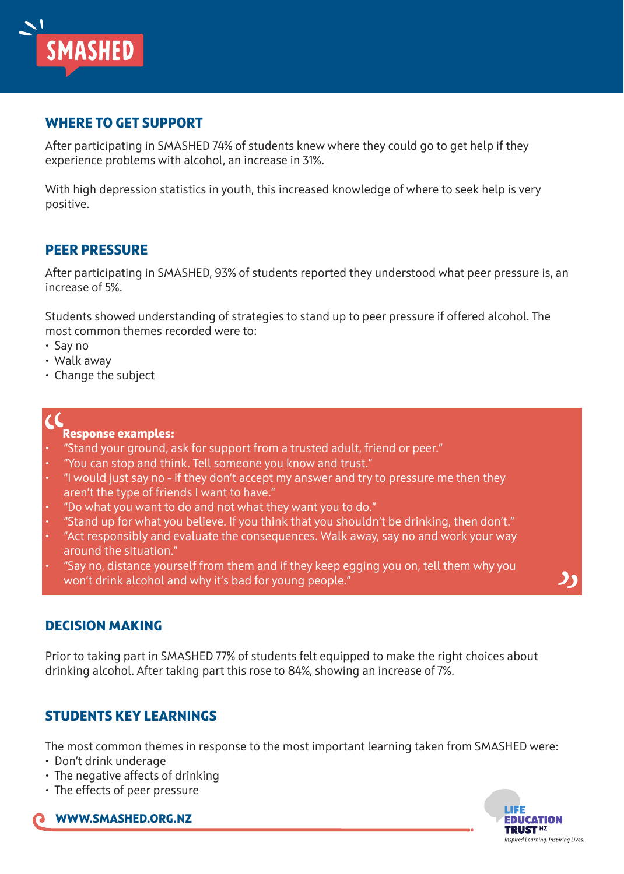#### **WHERE TO GET SUPPORT**

After participating in SMASHED 74% of students knew where they could go to get help if they experience problems with alcohol, an increase in 31%.

With high depression statistics in youth, this increased knowledge of where to seek help is very positive.

#### **PEER PRESSURE**

**SMASHED** 

After participating in SMASHED, 93% of students reported they understood what peer pressure is, an increase of 5%.

Students showed understanding of strategies to stand up to peer pressure if offered alcohol. The most common themes recorded were to:

- Say no
- Walk away
- Change the subject

#### **Response examples:**

- "Stand your ground, ask for support from a trusted adult, friend or peer."
- "You can stop and think. Tell someone you know and trust."
- "I would just say no if they don't accept my answer and try to pressure me then they aren't the type of friends I want to have."
- "Do what you want to do and not what they want you to do."
- "Stand up for what you believe. If you think that you shouldn't be drinking, then don't."
- "Act responsibly and evaluate the consequences. Walk away, say no and work your way around the situation."
- "Say no, distance yourself from them and if they keep egging you on, tell them why you won't drink alcohol and why it's bad for young people."

#### **DECISION MAKING**

Prior to taking part in SMASHED 77% of students felt equipped to make the right choices about drinking alcohol. After taking part this rose to 84%, showing an increase of 7%.

#### **STUDENTS KEY LEARNINGS**

The most common themes in response to the most important learning taken from SMASHED were:

- Don't drink underage
- The negative affects of drinking
- The effects of peer pressure

**WWW.SMASHED.ORG.NZ**

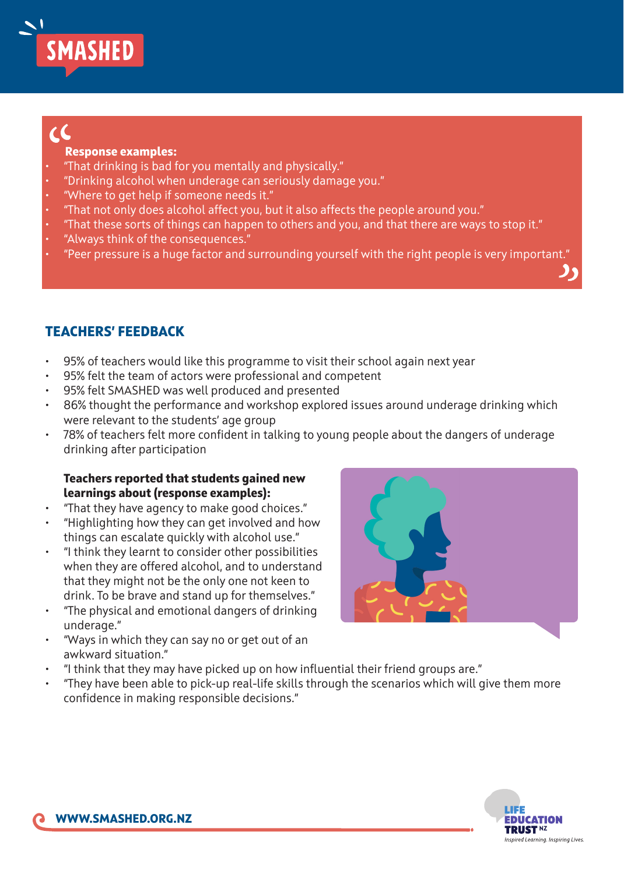# **SMASHED**

## $\epsilon$

#### **Response examples:**

- "That drinking is bad for you mentally and physically."
- "Drinking alcohol when underage can seriously damage you."
- "Where to get help if someone needs it."
- "That not only does alcohol affect you, but it also affects the people around you."
- "That these sorts of things can happen to others and you, and that there are ways to stop it."
- "Always think of the consequences."
- "Peer pressure is a huge factor and surrounding yourself with the right people is very important."

#### **TEACHERS' FEEDBACK**

- 95% of teachers would like this programme to visit their school again next year
- 95% felt the team of actors were professional and competent
- 95% felt SMASHED was well produced and presented
- 86% thought the performance and workshop explored issues around underage drinking which were relevant to the students' age group
- 78% of teachers felt more confident in talking to young people about the dangers of underage drinking after participation

#### **Teachers reported that students gained new learnings about (response examples):**

- "That they have agency to make good choices."
- "Highlighting how they can get involved and how things can escalate quickly with alcohol use."
- "I think they learnt to consider other possibilities when they are offered alcohol, and to understand that they might not be the only one not keen to drink. To be brave and stand up for themselves."
- "The physical and emotional dangers of drinking underage."
- "Ways in which they can say no or get out of an awkward situation."
- "I think that they may have picked up on how influential their friend groups are."
- "They have been able to pick-up real-life skills through the scenarios which will give them more confidence in making responsible decisions."